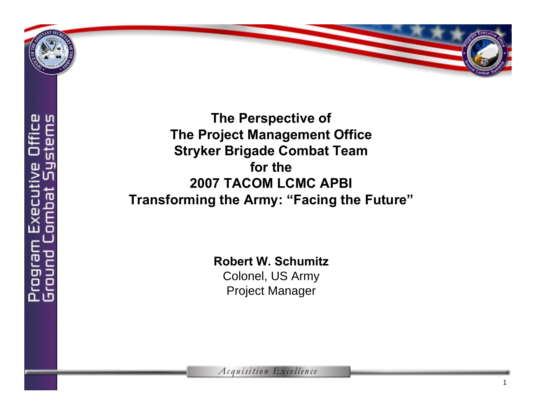

**The Perspective of The Project Management Office Stryker Brigade Combat Team for the 2007 TACOM LCMC APBITransforming the Army: "Facing the Future"**

**Robert W. Schumitz**

Colonel, US Army Project Manager

**Acquisition Excellence**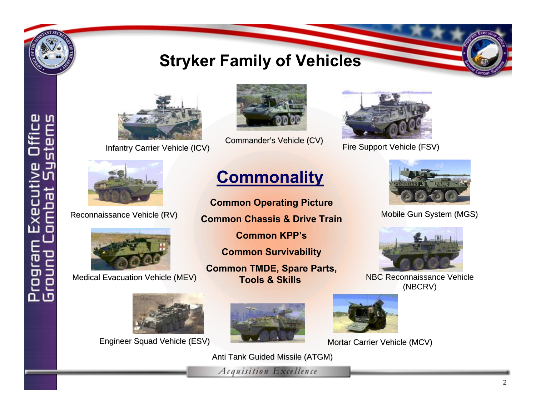

 $\mathbf{a}$ 

## **Stryker Family of Vehicles**



[Infantry Carrier Vehicle \(ICV\)](#page-2-0)



[Commander's Vehicle \(CV\)](#page-2-0)



[Fire Support Vehicle \(FSV\)](#page-2-0)



[Reconnaissance Vehicle \(RV\)](#page-2-0)



[Medical Evacuation Vehicle \(MEV\)](#page-2-0)



Engineer Squad Vehicle (ESV) [Engineer Squad Vehicle \(ESV\)](#page-2-0)



**Common Operating Picture Common Chassis & Drive TrainCommon KPP'sCommon Survivability Common TMDE, Spare Parts, Tools & Skills**





[Mobile Gun System \(MGS\)](#page-2-0)



[NBC Reconnaissance Vehicle](#page-2-0) (NBCRV)



[Mortar Carrier Vehicle \(MCV\)](#page-2-0)

[Anti Tank Guided Missile \(ATGM\)](#page-2-0)

Acquisition Excellence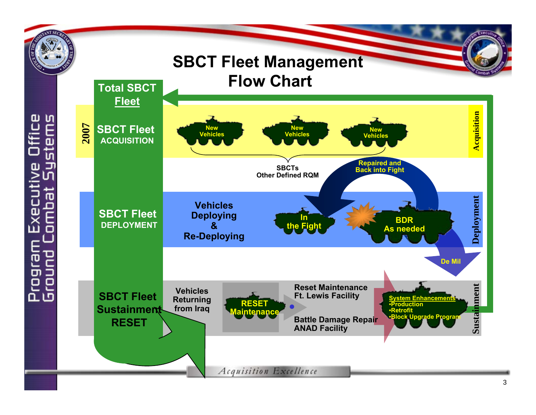<span id="page-2-0"></span>

Executive<br>Combat Sys உ்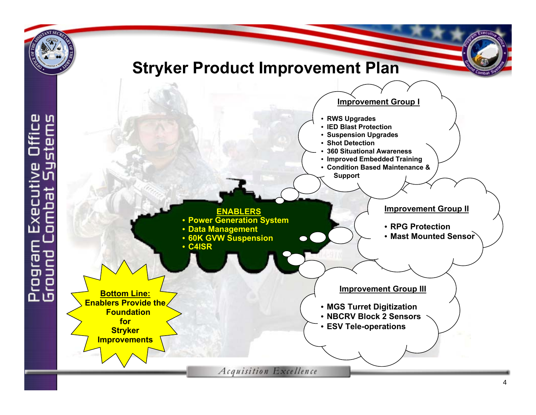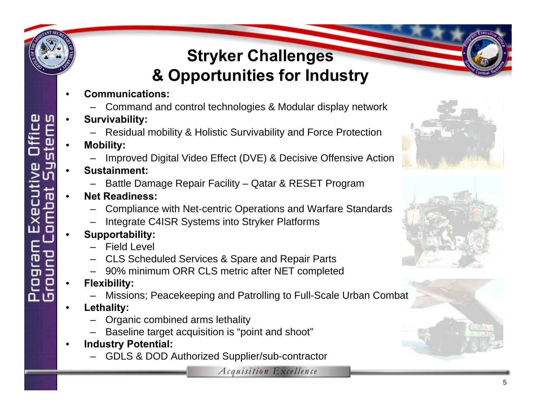## **Stryker Challenges & Opportunities for Industry**

- **Communications:**
	- Command and control technologies & Modular display network
- **Survivability:**
	- Residual mobility & Holistic Survivability and Force Protection
- **Mobility:**
	- Improved Digital Video Effect (DVE) & Decisive Offensive Action
- **Sustainment:**
	- Battle Damage Repair Facility Qatar & RESET Program
- **Net Readiness:**
	- Compliance with Net-centric Operations and Warfare Standards
	- Integrate C4ISR Systems into Stryker Platforms
- **Supportability:**
	- Field Level
	- CLS Scheduled Services & Spare and Repair Parts
	- 90% minimum ORR CLS metric after NET completed
- **Flexibility:**
	- Missions; Peacekeeping and Patrolling to Full-Scale Urban Combat
- **Lethality:**

உட

- Organic combined arms lethality
- Baseline target acquisition is "point and shoot"
- **Industry Potential:**
	- GDLS & DOD Authorized Supplier/sub-contractor





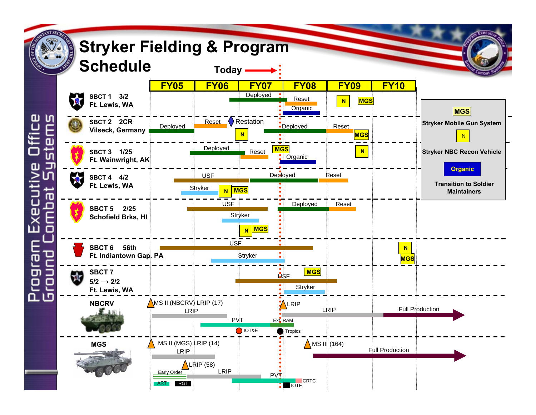